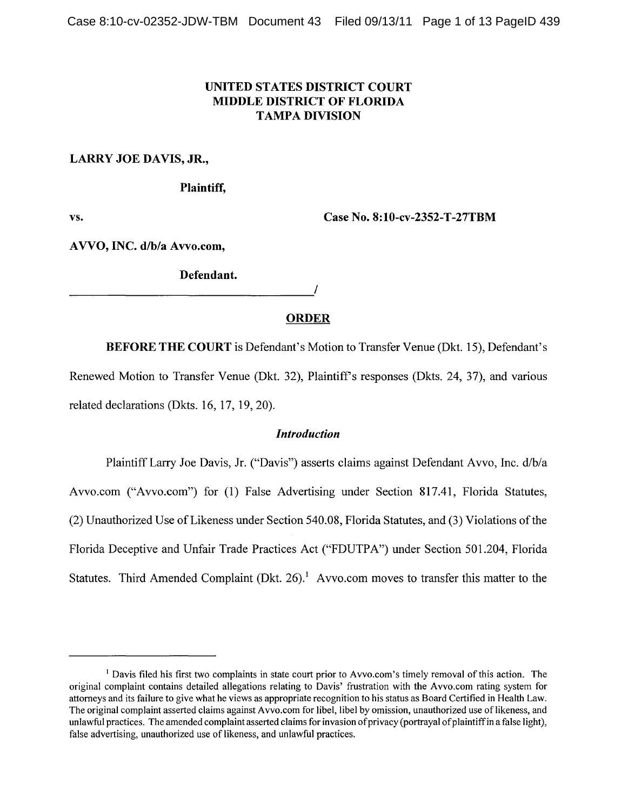## UNITED STATES DISTRICT COURT MIDDLE DISTRICT OF FLORIDA **TAMPA DIVISION**

## LARRY JOE DAVIS, JR.,

Plaintiff,

vs. Case No. 8:10-cv-2352-T-27TBM

A VVO, INC. d/b/a Avvo.com,

Defendant.

-----------------------------------,/

### ORDER

BEFORE THE COURT is Defendant's Motion to Transfer Venue (Dkt. 15), Defendant's Renewed Motion to Transfer Venue (Dkt. 32), Plaintiffs responses (Dkts. 24, 37), and various related declarations (Dkts. 16, 17, 19, 20).

## *Introduction*

Plaintiff Larry Joe Davis, Jr. ("Davis") asserts claims against Defendant Avvo, Inc. d/b/a Avvo.com ("Avvo.com") for (1) False Advertising under Section 817.41, Florida Statutes, (2) Unauthorized Use of Likeness under Section 540.08, Florida Statutes, and (3) Violations of the Florida Deceptive and Unfair Trade Practices Act ("FDUTPA") under Section 501.204, Florida Statutes. Third Amended Complaint (Dkt. 26).<sup>1</sup> Avvo.com moves to transfer this matter to the

<sup>&</sup>lt;sup>1</sup> Davis filed his first two complaints in state court prior to Avvo.com's timely removal of this action. The original complaint contains detailed allegations relating to Davis' frustration with the Avvo.com rating system for attorneys and its failure to give what he views as appropriate recognition to his status as Board Certified in Health Law. The original complaint asserted claims against Avvo.com for libel, libel by omission, unauthorized use oflikeness, and unlawful practices. The amended complaint asserted claims for invasion of privacy (portrayal of plaintiff in a false light), false advertising, unauthorized use of likeness, and unlawful practices.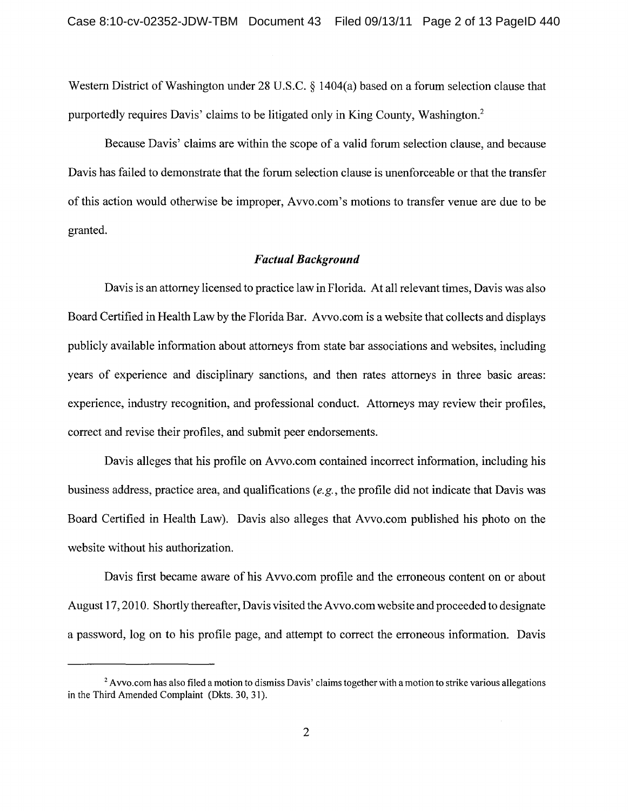Western District of Washington under 28 U.S.C. § 1404(a) based on a forum selection clause that purportedly requires Davis' claims to be litigated only in King County, Washington.<sup>2</sup>

Because Davis' claims are within the scope of a valid forum selection clause, and because Davis has failed to demonstrate that the forum selection clause is unenforceable or that the transfer of this action would otherwise be improper, Avvo.com's motions to transfer venue are due to be granted.

### *Factual Background*

Davis is an attorney licensed to practice law in Florida. At all relevant times, Davis was also Board Certified in Health Law by the Florida Bar. A vvo.com is a website that collects and displays publicly available information about attorneys from state bar associations and websites, including years of experience and disciplinary sanctions, and then rates attorneys in three basic areas: experience, industry recognition, and professional conduct. Attorneys may review their profiles, correct and revise their profiles, and submit peer endorsements.

Davis alleges that his profile on Avvo.com contained incorrect information, including his business address, practice area, and qualifications *(e.g.,* the profile did not indicate that Davis was Board Certified in Health Law). Davis also alleges that Avvo.com published his photo on the website without his authorization.

Davis first became aware of his A vvo.com profile and the erroneous content on or about August 17, 2010. Shortly thereafter, Davis visited the A vvo.com website and proceeded to designate a password, log on to his profile page, and attempt to correct the erroneous information. Davis

<sup>&</sup>lt;sup>2</sup> Avvo.com has also filed a motion to dismiss Davis' claims together with a motion to strike various allegations in the Third Amended Complaint (Dkts. 30, 31).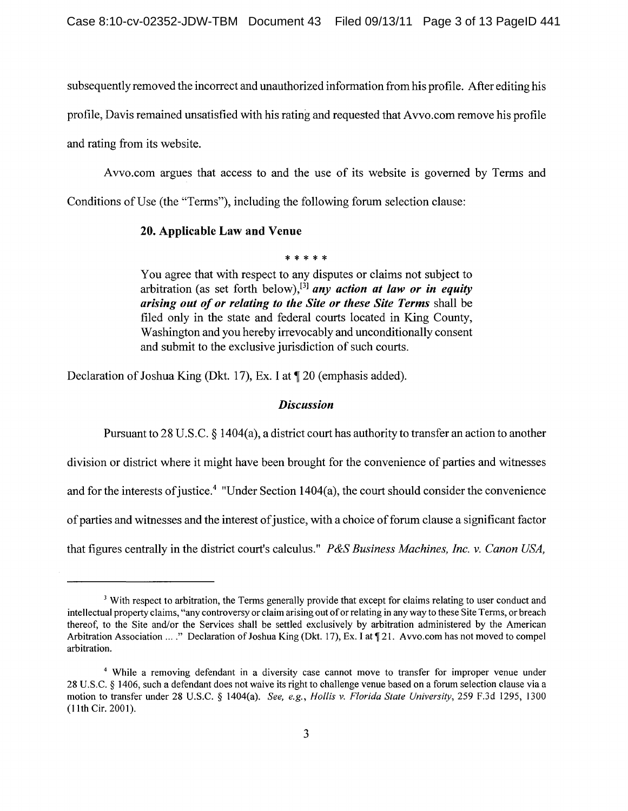subsequently removed the incorrect and unauthorized information from his profile. After editing his

profile, Davis remained unsatisfied with his rating and requested that A vvo.com remove his profile

and rating from its website.

Avvo.com argues that access to and the use of its website is governed by Terms and

Conditions of Use (the "Terms"), including the following forum selection clause:

# 20. Applicable Law and Venue

\* \* \* \* \*<br>..

You agree that with respect to any disputes or claims not subject to arbitration (as set forth below),<sup>[3]</sup> any action at law or in equity *arising out of or relating to the Site or these Site Terms* shall be filed only in the state and federal courts located in King County, Washington and you hereby irrevocably and unconditionally consent and submit to the exclusive jurisdiction of such courts.

Declaration of Joshua King (Dkt. 17), Ex. I at  $\P$  20 (emphasis added).

## *Discussion*

Pursuant to 28 U.S.C. § 1404(a), a district court has authority to transfer an action to another

division or district where it might have been brought for the convenience of parties and witnesses

and for the interests of justice.<sup>4</sup> "Under Section  $1404(a)$ , the court should consider the convenience

of parties and witnesses and the interest of justice, with a choice of forum clause a significant factor

that figures centrally in the district court's calculus." *P&S Business Machines, Inc.* v. *Canon USA,* 

<sup>&</sup>lt;sup>3</sup> With respect to arbitration, the Terms generally provide that except for claims relating to user conduct and intellectual property claims, "any controversy or claim arising out of or relating in any way to these Site Tenns, or breach thereof, to the Site and/or the Services shall be settled exclusively by arbitration administered by the American Arbitration Association ...." Declaration of Joshua King (Dkt. 17), Ex. I at  $\P$ 21. Avvo.com has not moved to compel arbitration.

<sup>4</sup> While a removing defendant in a diversity case cannot move to transfer for improper venue under 28 U.S.C. § 1406, such a defendant does not waive its right to challenge venue based on a forum selection clause via a motion to transfer under 28 U.S.C. § 1404(a). *See, e.g., Hollis* v. *Florida State University,* 259 F.3d 1295, 1300 (11th Cir. 2001).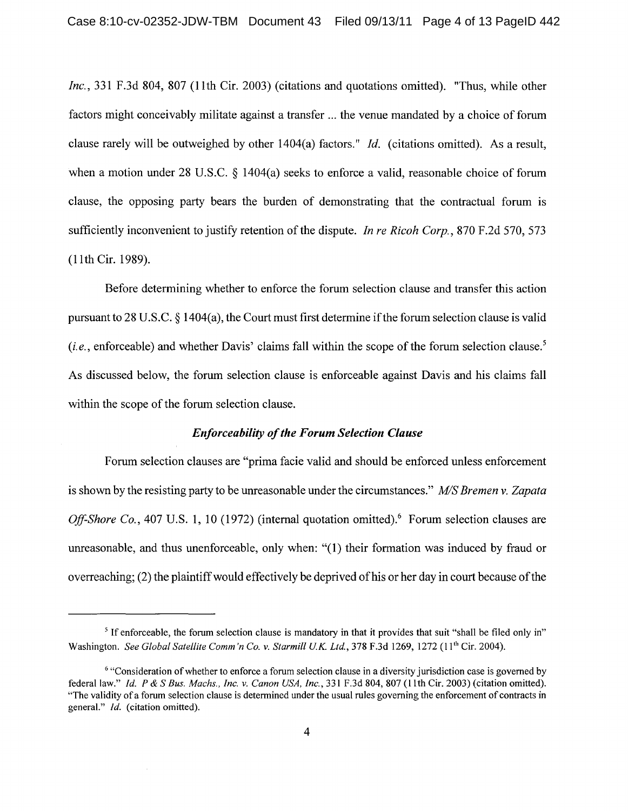*Inc.,* 331 F.3d 804, 807 (1Ith Cir. 2003) (citations and quotations omitted). "Thus, while other factors might conceivably militate against a transfer ... the venue mandated by a choice of forum clause rarely will be outweighed by other 1404(a) factors." *Id.* (citations omitted). As a result, when a motion under 28 U.S.C. § 1404(a) seeks to enforce a valid, reasonable choice of forum clause, the opposing party bears the burden of demonstrating that the contractual forum is sufficiently inconvenient to justify retention of the dispute. *In re Ricoh Corp.*, 870 F.2d 570, 573 (11 th Cir. 1989).

Before determining whether to enforce the forum selection clause and transfer this action pursuant to 28 U.S.C. § 1404(a), the Court must first determine if the forum selection clause is valid  $(i.e.,<sub>e</sub>,<sub>e</sub>)$  and whether Davis' claims fall within the scope of the forum selection clause.<sup>5</sup> As discussed below, the forum selection clause is enforceable against Davis and his claims fall within the scope of the forum selection clause.

#### *Enforceability of the Forum Selection Clause*

Forum selection clauses are "prima facie valid and should be enforced unless enforcement is shown by the resisting party to be unreasonable under the circumstances." *MIS Bremen* v. *Zapata Off-Shore Co.,* 407 U.S. 1, 10 (1972) (internal quotation omitted).<sup>6</sup> Forum selection clauses are unreasonable, and thus unenforceable, only when: "(1) their formation was induced by fraud or overreaching; (2) the plaintiff would effectively be deprived of his or her day in court because of the

<sup>&</sup>lt;sup>5</sup> If enforceable, the forum selection clause is mandatory in that it provides that suit "shall be filed only in" Washington. *See Global Satellite Comm'n Co. v. Starmill U.K. Ltd.*, 378 F.3d 1269, 1272 (11<sup>th</sup> Cir. 2004).

<sup>&</sup>lt;sup>6</sup> "Consideration of whether to enforce a forum selection clause in a diversity jurisdiction case is governed by federal law." *Id.* P & S *Bus. Machs., Inc.* v. *Canon USA, Inc.,* 331 F.3d 804,807 (1Ith Cir. 2003) (citation omitted). "The validity of a forum selection clause is determined under the usual rules governing the enforcement of contracts in general." *Id.* (citation omitted).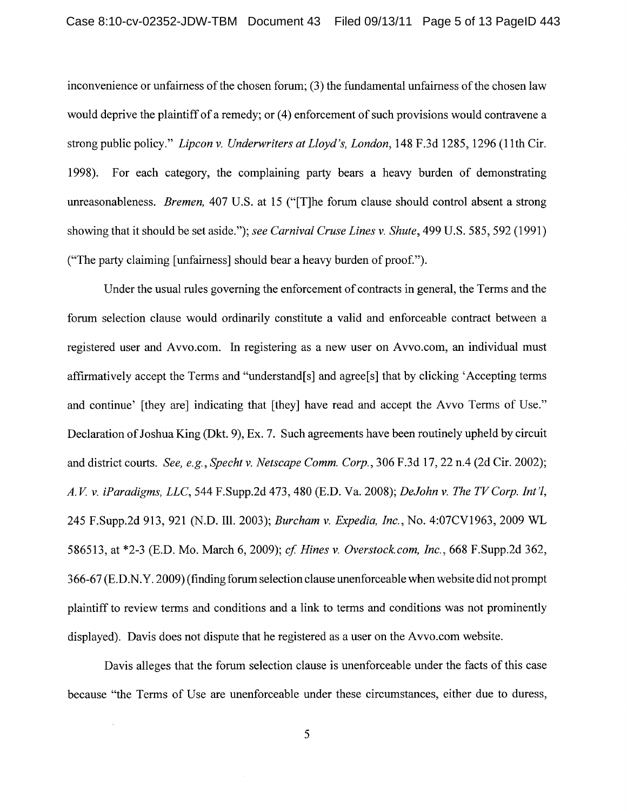inconvenience or unfairness of the chosen forum; (3) the fundamental unfairness of the chosen law would deprive the plaintiff of a remedy; or (4) enforcement of such provisions would contravene a strong public policy." *Lipcon* v. *Underwriters at Lloyd's, London,* 148 F.3d 1285, 1296 (lIth Cir. 1998). For each category, the complaining party bears a heavy burden of demonstrating unreasonableness. *Bremen,* 407 U.S. at 15 ("[T]he forum clause should control absent a strong showing that it should be set aside."); *see Carnival Cruse Lines* v. *Shute,* 499 U.S. 585, 592 (1991) ("The party claiming [unfairness] should bear a heavy burden of proof.").

Under the usual rules governing the enforcement of contracts in general, the Terms and the forum selection clause would ordinarily constitute a valid and enforceable contract between a registered user and Avvo.com. In registering as a new user on Avvo.com, an individual must affirmatively accept the Terms and "understand[s] and agree[s] that by clicking 'Accepting terms and continue' [they are] indicating that [they] have read and accept the Avvo Terms of Use." Declaration of Joshua King (Dkt. 9), Ex. 7. Such agreements have been routinely upheld by circuit and district courts. *See, e.g., Specht* v. *Netscape Comm. Corp.,* 306 F .3d 17, 22 n.4 (2d Cir. 2002); *A. V* v. *iParadigms, LLC,* 544 F.Supp.2d 473, 480 (E.D. Va. 2008); *DeJohn* v. *The TVCorp. Int'l,*  245 F.Supp.2d 913,921 (N.D. **Ill.** 2003); *Burcham* v. *Expedia, Inc.,* No. 4:07CVI963, 2009 WL 586513, at \*2-3 (E.D. Mo. March 6, 2009); *cf Hines* v. *Overstock.com, Inc.,* 668 F.Supp.2d 362, 366-67 (E.D.N. Y. 2009) (finding forum selection clause unenforceable when website did not prompt plaintiff to review terms and conditions and a link to terms and conditions was not prominently displayed). Davis does not dispute that he registered as a user on the Avvo.com website.

Davis alleges that the forum selection clause is unenforceable under the facts of this case because "the Terms of Use are unenforceable under these circumstances, either due to duress,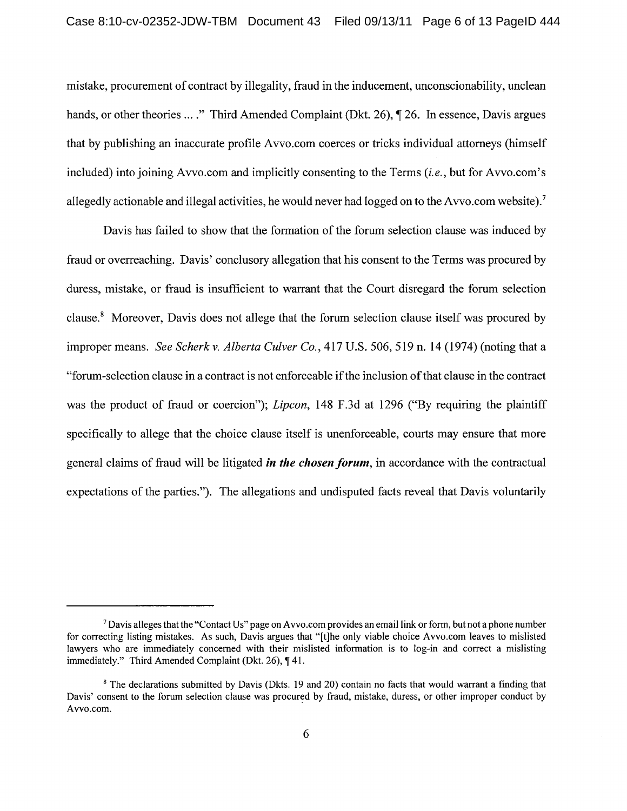mistake, procurement of contract by illegality, fraud in the inducement, unconscionability, unclean hands, or other theories .... " Third Amended Complaint (Dkt. 26), ¶ 26. In essence, Davis argues that by publishing an inaccurate profile A vvo.com coerces or tricks individual attorneys (himself included) into joining Avvo.com and implicitly consenting to the Terms *(i.e.,* but for Avvo.com's allegedly actionable and illegal activities, he would never had logged on to the A vvo.com website).<sup>7</sup>

Davis has failed to show that the formation of the forum selection clause was induced by fraud or overreaching. Davis' conclusory allegation that his consent to the Terms was procured by duress, mistake, or fraud is insufficient to warrant that the Court disregard the forum selection clause. 8 Moreover, Davis does not allege that the forum selection clause itself was procured by improper means. *See Scherk* v. *Alberta Culver Co.,* 417 U.S. 506, 519 n. 14 (1974) (noting that a "forum-selection clause in a contract is not enforceable if the inclusion ofthat clause in the contract was the product of fraud or coercion"); *Lipcon*, 148 F.3d at 1296 ("By requiring the plaintiff specifically to allege that the choice clause itself is unenforceable, courts may ensure that more general claims of fraud will be litigated *in the chosen forum,* in accordance with the contractual expectations of the parties."). The allegations and undisputed facts reveal that Davis voluntarily

<sup>7</sup>Davis alleges that the "Contact Us" page on A vvo.com provides an email link or form, but not a phone number for correcting listing mistakes. As such, Davis argues that "[t]he only viable choice Avvo.com leaves to mislisted lawyers who are immediately concerned with their mislisted information is to log-in and correct a mislisting immediately." Third Amended Complaint (Dkt. 26),  $\P$  41.

<sup>&</sup>lt;sup>8</sup> The declarations submitted by Davis (Dkts. 19 and 20) contain no facts that would warrant a finding that Davis' consent to the forum selection clause was procured by fraud, mistake, duress, or other improper conduct by Avvo.com.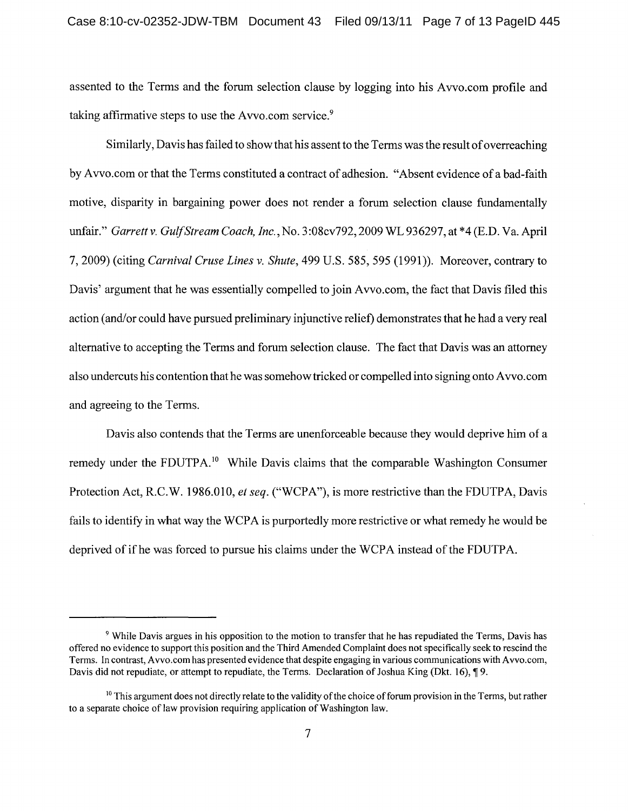assented to the Terms and the forum selection clause by logging into his Avvo.com profile and taking affirmative steps to use the Avvo.com service.<sup>9</sup>

Similarly, Davis has failed to show that his assent to the Terms was the result of overreaching by Avvo.com or that the Terms constituted a contract of adhesion. "Absent evidence of a bad-faith motive, disparity in bargaining power does not render a forum selection clause fundamentally unfair." *Garrettv. Gulf Stream Coach, Inc.,* No. 3:08cv792,2009 WL 936297, at \*4 (E.D. Va. April 7,2009) (citing *Carnival Cruse Lines* v. *Shute,* 499 U.S. 585, 595 (1991)). Moreover, contrary to Davis' argument that he was essentially compelled to join Avvo.com, the fact that Davis filed this action (and/or could have pursued preliminary injunctive relief) demonstrates that he had a very real alternative to accepting the Terms and forum selection clause. The fact that Davis was an attorney also undercuts his contention that he was somehow tricked or compelled into signing onto A vvo.com and agreeing to the Terms.

Davis also contends that the Terms are unenforceable because they would deprive him of a remedy under the FDUTPA.<sup>10</sup> While Davis claims that the comparable Washington Consumer Protection Act, R.C.W. 1986.010, *et seq.* ("WCPA"), is more restrictive than the FDUTPA, Davis fails to identify in what way the WCPA is purportedly more restrictive or what remedy he would be deprived of ifhe was forced to pursue his claims under the WCPA instead of the FDUTPA.

<sup>9</sup> While Davis argues in his opposition to the motion to transfer that he has repudiated the Terms, Davis has offered no evidence to support this position and the Third Amended Complaint does not specifically seek to rescind the Terms. In contrast, A VYo.com has presented evidence that despite engaging in various communications with Avvo.com, Davis did not repudiate, or attempt to repudiate, the Terms. Declaration of Joshua King (Dkt. 16),  $\phi$  9.

 $10$  This argument does not directly relate to the validity of the choice of forum provision in the Terms, but rather to a separate choice of law provision requiring application of Washington law.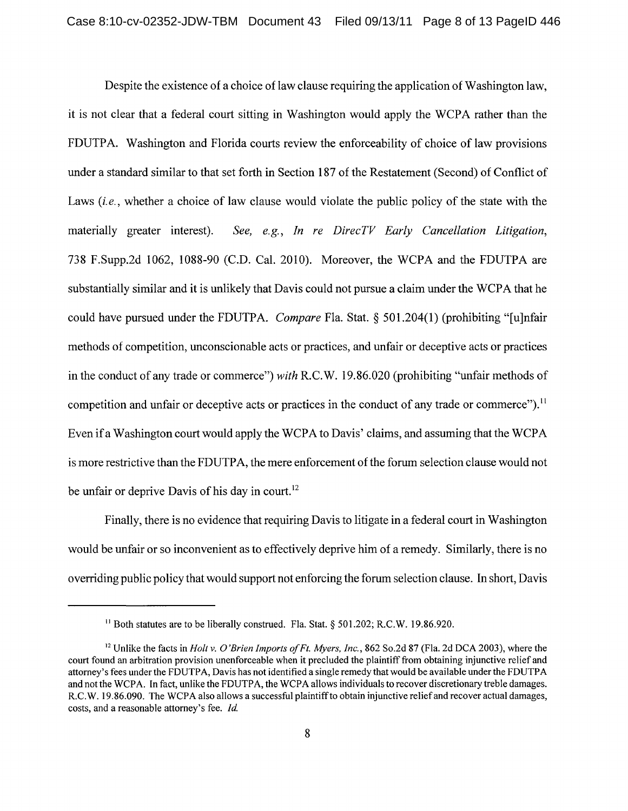Despite the existence of a choice of law clause requiring the application of Washington law, it is not clear that a federal court sitting in Washington would apply the WCPA rather than the FDUTPA. Washington and Florida courts review the enforceability of choice of law provisions under a standard similar to that set forth in Section 187 of the Restatement (Second) of Conflict of Laws *(i.e., whether a choice of law clause would violate the public policy of the state with the* materially greater interest). *See, e.g., In re DirecTV Early Cancellation Litigation,*  738 F.Supp.2d 1062, 1088-90 (C.D. Cal. 2010). Moreover, the WCPA and the FDUTPA are substantially similar and it is unlikely that Davis could not pursue a claim under the WCPA that he could have pursued under the FDUTPA. *Compare* Fla. Stat. § 501.204(1) (prohibiting "[u]nfair methods of competition, unconscionable acts or practices, and unfair or deceptive acts or practices in the conduct of any trade or commerce") *with* R.C.W. 19.86.020 (prohibiting "unfair methods of competition and unfair or deceptive acts or practices in the conduct of any trade or commerce").<sup>11</sup> Even if a Washington court would apply the WCPA to Davis' claims, and assuming that the WCPA is more restrictive than the FDUTPA, the mere enforcement of the forum selection clause would not be unfair or deprive Davis of his day in court.<sup>12</sup>

Finally, there is no evidence that requiring Davis to litigate in a federal court in Washington would be unfair or so inconvenient as to effectively deprive him of a remedy. Similarly, there is no overriding public policy that would support not enforcing the forum selection clause. **In** short, Davis

<sup>&</sup>lt;sup>11</sup> Both statutes are to be liberally construed. Fla. Stat. § 501.202; R.C.W. 19.86.920.

<sup>&</sup>lt;sup>12</sup> Unlike the facts in *Holt v. O'Brien Imports of Ft. Myers, Inc.*, 862 So.2d 87 (Fla. 2d DCA 2003), where the court found an arbitration provision unenforceable when it precluded the plaintiff from obtaining injunctive relief and attorney's fees under the FDUTPA, Davis has not identified a single remedy that would be available under the FDUTPA and not the WCPA. In fact, unlike the FDUTPA, the WCPA allows individuals to recover discretionary treble damages. R.C.W. 19.86.090. The WCPA also allows a successful plaintiff to obtain injunctive relief and recover actual damages, costs, and a reasonable attorney's fee. *Id.*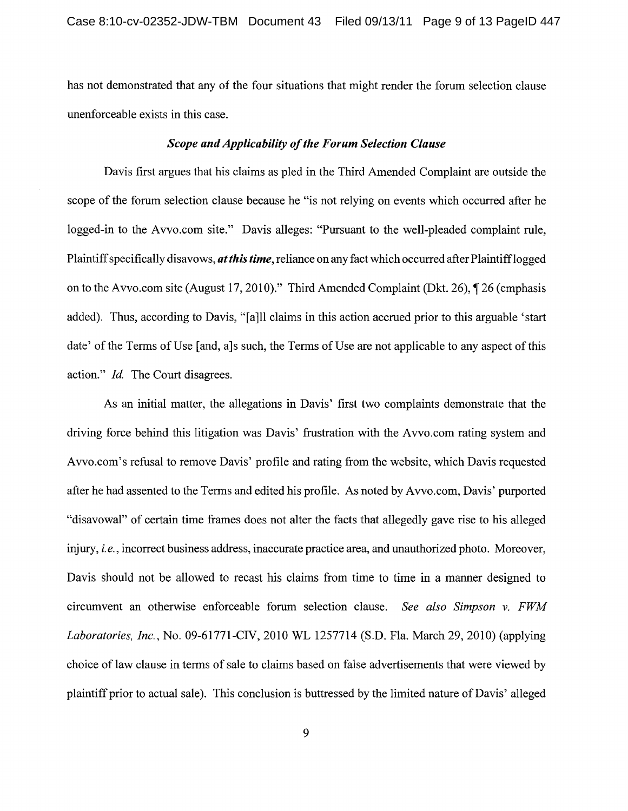has not demonstrated that any of the four situations that might render the forum selection clause unenforceable exists in this case.

### *Scope and Applicability of the Forum Selection Clause*

Davis first argues that his claims as pled in the Third Amended Complaint are outside the scope of the forum selection clause because he "is not relying on events which occurred after he logged-in to the Avvo.com site." Davis alleges: "Pursuant to the well-pleaded complaint rule, Plaintiff specifically disavows, *at this time,* reliance on any fact which occurred after Plaintifflogged on to the Avvo.com site (August 17, 2010)." Third Amended Complaint (Dkt. 26),  $\P$  26 (emphasis added). Thus, according to Davis, "[a]ll claims in this action accrued prior to this arguable 'start date' of the Terms of Use [and, a]s such, the Terms of Use are not applicable to any aspect of this action." *Id.* The Court disagrees.

As an initial matter, the allegations in Davis' first two complaints demonstrate that the driving force behind this litigation was Davis' frustration with the Avvo.com rating system and Avvo.com's refusal to remove Davis' profile and rating from the website, which Davis requested after he had assented to the Terms and edited his profile. As noted by Avvo.com, Davis' purported "disavowal" of certain time frames does not alter the facts that allegedly gave rise to his alleged injury, *i.e.,* incorrect business address, inaccurate practice area, and unauthorized photo. Moreover, Davis should not be allowed to recast his claims from time to time in a manner designed to circumvent an otherwise enforceable forum selection clause. *See also Simpson* v. *FWM Laboratories, Inc.,* No. 09-61771-CIV, 2010 WL 1257714 (S.D. Fla. March 29, 2010) (applying choice of law clause in terms of sale to claims based on false advertisements that were viewed by plaintiff prior to actual sale). This conclusion is buttressed by the limited nature of Davis' alleged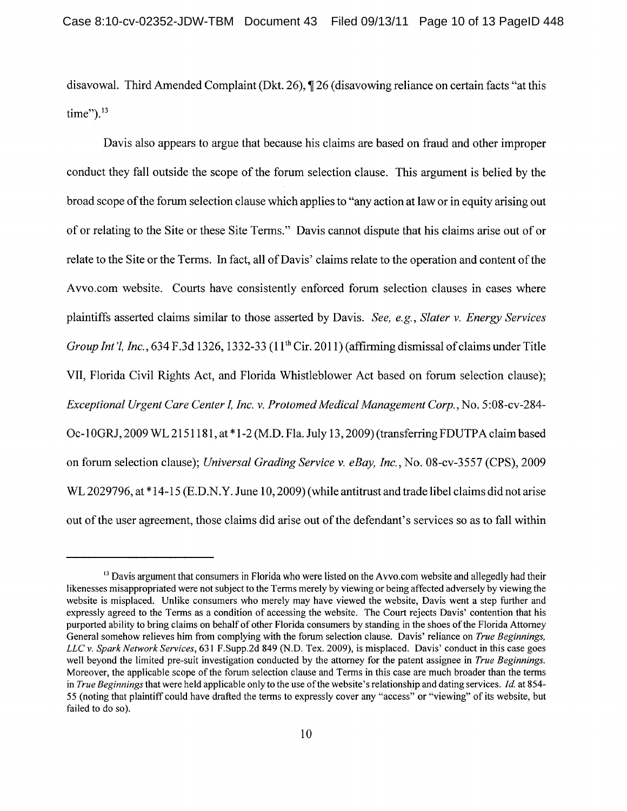disavowal. Third Amended Complaint (Dkt. 26),  $\P$  26 (disavowing reliance on certain facts "at this time").<sup>13</sup>

Davis also appears to argue that because his claims are based on fraud and other improper conduct they fall outside the scope of the forum selection clause. This argument is belied by the broad scope of the forum selection clause which applies to "any action at law or in equity arising out of or relating to the Site or these Site Terms." Davis cannot dispute that his claims arise out of or relate to the Site or the Terms. In fact, all of Davis' claims relate to the operation and content of the Avvo.com website. Courts have consistently enforced forum selection clauses in cases where plaintiffs asserted claims similar to those asserted by Davis. *See, e.g., Slater* v. *Energy Services Group Int'l, Inc.,* 634 F.3d 1326, 1332-33 (11<sup>th</sup> Cir. 2011) (affirming dismissal of claims under Title VII, Florida Civil Rights Act, and Florida Whistleblower Act based on forum selection clause); *Exceptional Urgent Care Center* L *Inc.* v. *Protomed Medical Management Corp.,* No.5 :08-cv-284- Oc-l0GRJ, 2009 WL2151181, at \*1-2 (M.D. Fla. July 13,2009) (transferringFDUTPAclaim based on forum selection clause); *Universal Grading Service* v. *eBay, Inc.,* No. 08-cv-3557 (CPS), 2009 WL 2029796, at \* 14-15 (E.D.N.Y. June 10,2009) (while antitrust and trade libel claims did not arise out of the user agreement, those claims did arise out of the defendant's services so as to fall within

<sup>&</sup>lt;sup>13</sup> Davis argument that consumers in Florida who were listed on the A vvo.com website and allegedly had their likenesses misappropriated were not subject to the Terms merely by viewing or being affected adversely by viewing the website is misplaced. Unlike consumers who merely may have viewed the website, Davis went a step further and expressly agreed to the Terms as a condition of accessing the website. The Court rejects Davis' contention that his purported ability to bring claims on behalf of other Florida consumers by standing in the shoes of the Florida Attorney General somehow relieves him from complying with the forum selection clause. Davis' reliance on *True Beginnings, LLC* v. *Spark Network Services,* 631 F.Supp.2d 849 (N.D. Tex. 2009), is misplaced. Davis' conduct in this case goes well beyond the limited pre-suit investigation conducted by the attorney for the patent assignee in *True Beginnings.*  Moreover, the applicable scope of the forum selection clause and Terms in this case are much broader than the terms in *True Beginnings* that were held applicable only to the use of the website's relationship and dating services. *Id.* at 854-55 (noting that plaintiff could have drafted the terms to expressly cover any "access" or "viewing" of its website, but failed to do so).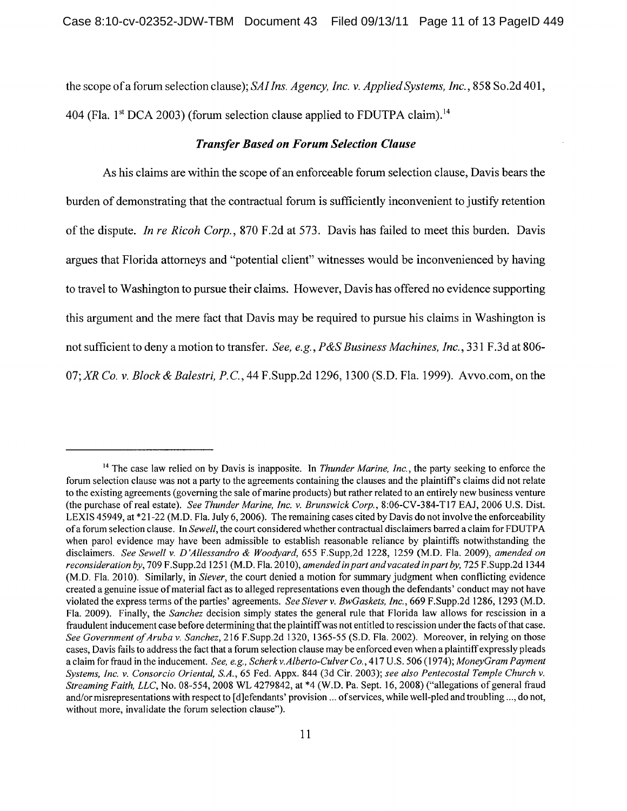the scope of a forum selection clause); *SAl Ins. Agency, Inc.* v. *Applied Systems, Inc.,* 858 So.2d 401, 404 (Fla. 1st DCA 2003) (forum selection clause applied to FDUTPA claim).<sup>14</sup>

#### *Transfer Based on Forum Selection Clause*

As his claims are within the scope of an enforceable forum selection clause, Davis bears the burden of demonstrating that the contractual forum is sufficiently inconvenient to justify retention of the dispute. *In re Ricoh Corp.,* 870 F.2d at 573. Davis has failed to meet this burden. Davis argues that Florida attorneys and "potential client" witnesses would be inconvenienced by having to travel to Washington to pursue their claims. However, Davis has offered no evidence supporting this argument and the mere fact that Davis may be required to pursue his claims in Washington is not sufficient to deny amotion to transfer. *See, e.g., P&S Business Machines, Inc.,* 331 F.3d at 806- 07; XR Co. v. *Block & Balestri, P.C.*, 44 F.Supp.2d 1296, 1300 (S.D. Fla. 1999). Avvo.com, on the

<sup>&</sup>lt;sup>14</sup> The case law relied on by Davis is inapposite. In *Thunder Marine, Inc.*, the party seeking to enforce the forum selection clause was not a party to the agreements containing the clauses and the plaintiff's claims did not relate to the existing agreements (governing the sale of marine products) but rather related to an entirely new business venture (the purchase of real estate). *See Thunder Marine, Inc.* v. *Brunswick Corp.,* 8:06-CV-384-Tl7 EAJ, 2006 U.S. Dist. LEXIS 45949, at \*21-22 (M.D. Fla. July 6, 2006). The remaining cases cited by Davis do not involve the enforceability of a forum selection clause. In *Sewell,* the court considered whether contractual disclaimers barred a claim for FDUTPA when parol evidence may have been admissible to establish reasonable reliance by plaintiffs notwithstanding the disclaimers. *See Sewell* v. *D 'Allessandro* & *Woodyard,* 655 F.Supp,2d 1228, 1259 (M.D. Fla. 2009), *amended on reconsideration by,* 709 F.Supp.2d 1251 (M.D. Fla. 20 I 0), *amended in part and vacated in part by,* 725 F.Supp.2d 1344 (M.D. Fla. 2010). Similarly, in *Siever*, the court denied a motion for summary judgment when conflicting evidence created a genuine issue of material fact as to alleged representations even though the defendants' conduct may not have violated the express terms of the parties' agreements. *See Siever* v. *BwGaskets, Inc.,* 669 F.Supp.2d 1286, 1293 (M.D. Fla. 2009). Finally, the *Sanchez* decision simply states the general rule that Florida law allows for rescission in a fraudulent inducement case before determining that the plaintiff was not entitled to rescission under the facts of that case. *See Government of Aruba* v. *Sanchez,* 216 F.Supp.2d 1320, 1365-55 (S.D. Fla. 2002). Moreover, in relying on those cases, Davis fails to address the fact that a forum selection clause may be enforced even when a plaintiff expressly pleads a claim for fraud in the inducement. *See, e.g., Scherkv.Alberto-Culver Co.,* 417 U.S. 506 (1974); *MoneyGram Payment Systems, Inc.* v. *Consorcio Oriental, S.A.,* 65 Fed. Appx. 844 (3d Cir. 2003); *see also Pentecostal Temple Church* v. *Streaming Faith, LLC,* No. 08-554, 2008 WL 4279842, at \*4 (W.D. Pa. Sept. 16, 2008) ("allegations of general fraud and/or misrepresentations with respect to [d]efendants' provision ... of services, while well-pled and troubling ... , do not, without more, invalidate the forum selection clause").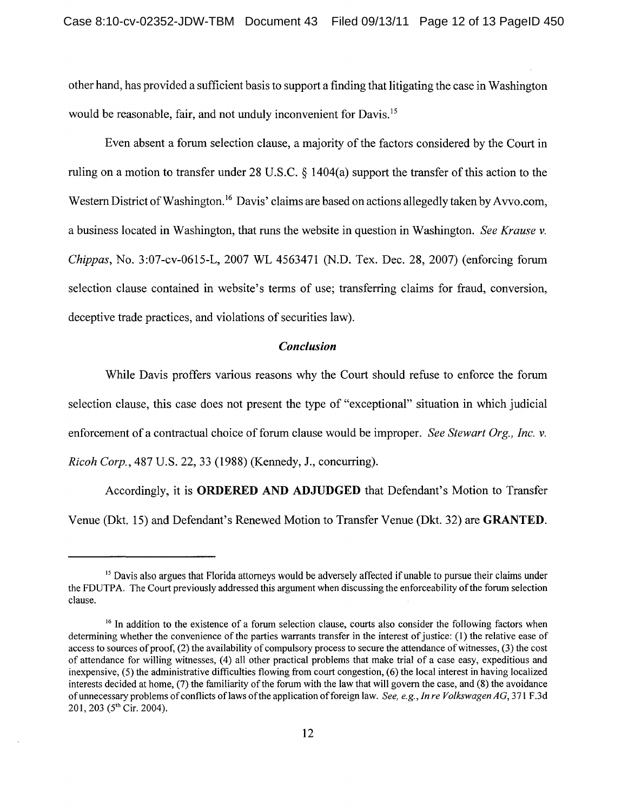other hand, has provided a sufficient basis to support a finding that litigating the case in Washington would be reasonable, fair, and not unduly inconvenient for Davis.<sup>15</sup>

Even absent a forum selection clause, a majority of the factors considered by the Court in ruling on a motion to transfer under 28 U.S.C. § 1404(a) support the transfer of this action to the Western District of Washington.<sup>16</sup> Davis' claims are based on actions allegedly taken by Avvo.com, a business located in Washington, that runs the website in question in Washington. *See Krause* v. *Chippas,* No. 3:07-cv-0615-L, 2007 WL 4563471 (N.D. Tex. Dec. 28, 2007) (enforcing forum selection clause contained in website's terms of use; transferring claims for fraud, conversion, deceptive trade practices, and violations of securities law).

#### *Conclusion*

While Davis proffers various reasons why the Court should refuse to enforce the forum selection clause, this case does not present the type of "exceptional" situation in which judicial enforcement of a contractual choice of forum clause would be improper. *See Stewart Org., Inc.* v. *Ricoh Corp.,* 487 U.S. 22, 33 (1988) (Kennedy, J., concurring).

Accordingly, it is **ORDERED AND ADJUDGED** that Defendant's Motion to Transfer Venue (Dkt. 15) and Defendant's Renewed Motion to Transfer Venue (Dkt. 32) are **GRANTED.** 

<sup>&</sup>lt;sup>15</sup> Davis also argues that Florida attorneys would be adversely affected if unable to pursue their claims under the FDUTPA. The Court previously addressed this argument when discussing the enforceability of the forum selection clause.

<sup>&</sup>lt;sup>16</sup> In addition to the existence of a forum selection clause, courts also consider the following factors when determining whether the convenience of the parties warrants transfer in the interest of justice: (1) the relative ease of access to sources of proof, (2) the availability of compulsory process to secure the attendance of witnesses, (3) the cost of attendance for willing witnesses, (4) all other practical problems that make trial of a case easy, expeditious and inexpensive, (5) the administrative difficulties flowing from court congestion, (6) the local interest in having localized interests decided at home, (7) the familiarity of the forum with the law that will govern the case, and (8) the avoidance of unnecessary problems of conflicts oflaws of the application offoreign law. *See, e.g., In re Volkswagen AG,* 371 F.3d 201, 203 (5<sup>th</sup> Cir. 2004).